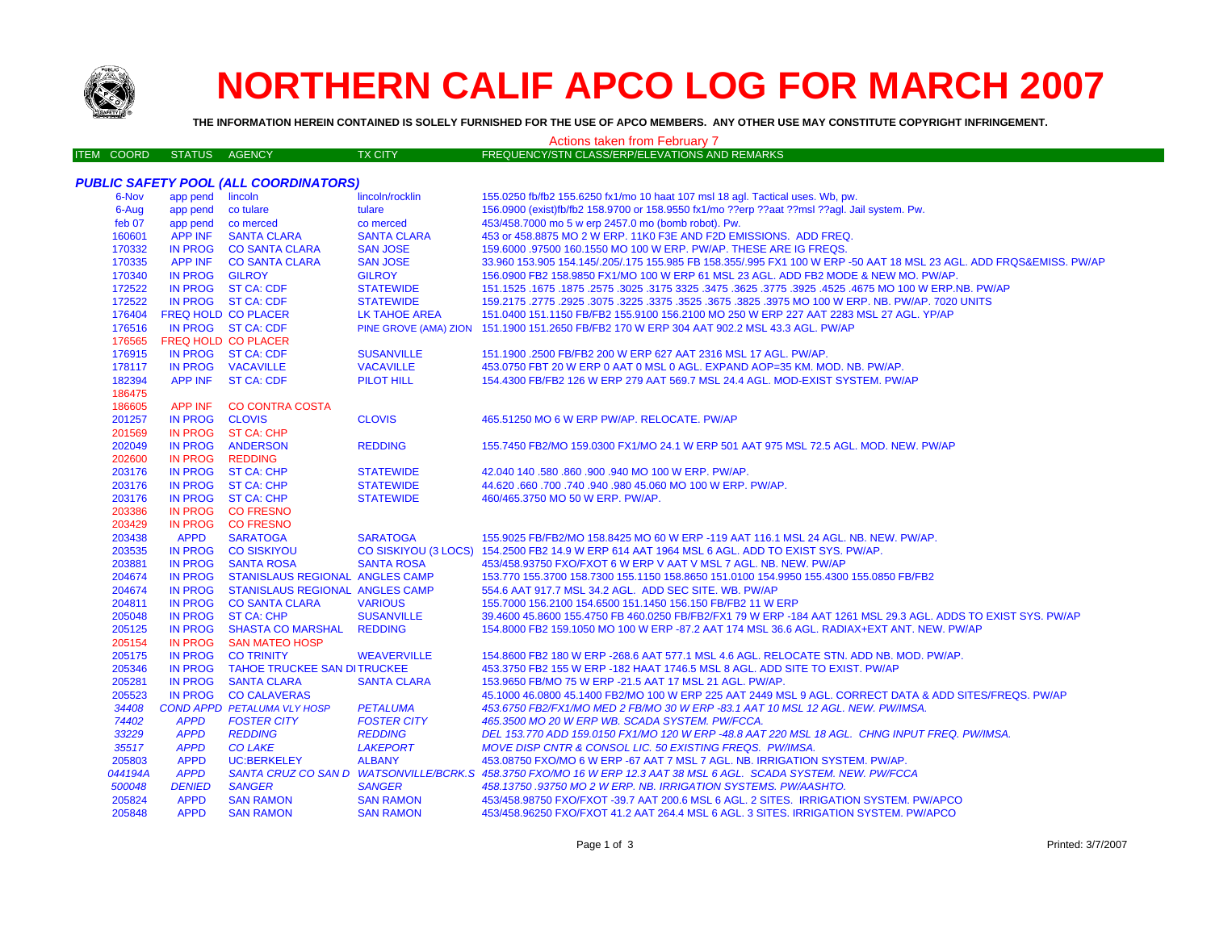

## **NORTHERN CALIF APCO LOG FOR MARCH 2007**

**THE INFORMATION HEREIN CONTAINED IS SOLELY FURNISHED FOR THE USE OF APCO MEMBERS. ANY OTHER USE MAY CONSTITUTE COPYRIGHT INFRINGEMENT.**

## ITEM COORD STATUS AGENCY TX CITY FREQUENCY/STN CLASS/ERP/ELEVATIONS AND REMARKS *PUBLIC SAFETY POOL (ALL COORDINATORS)* 6-Nov app pend lincoln lincoln lincoln/rocklin 155.0250 fb/fb2 155.6250 fx1/mo 10 haat 107 msl 18 agl. Tactical uses. Wb, pw. 6-Aug app pend co tulare tulare 156.0900 (exist)fb/fb2 158.9700 or 158.9550 fx1/mo ??erp ??aat ??msl ??agl. Jail system. Pw. feb 07 app pend co merced co merced 453/458.7000 mo 5 w erp 2457.0 mo (bomb robot). Pw. APP INF SANTA CLARA SANTA CLARA 453 or 458.8875 MO 2 W ERP. 11K0 F3E AND F2D EMISSIONS. ADD FREQ. IN PROG CO SANTA CLARA SAN JOSE 159.6000 .97500 160.1550 MO 100 W ERP. PW/AP. THESE ARE IG FREQS. APP INF CO SANTA CLARA SAN JOSE 33.960 153.905 154.145/.205/.175 155.985 FB 158.355/.995 FX1 100 W ERP -50 AAT 18 MSL 23 AGL. ADD FRQS&EMISS. PW/AP IN PROG GILROY GILROY 156.0900 FB2 158.9850 FX1/MO 100 W ERP 61 MSL 23 AGL. ADD FB2 MODE & NEW MO. PW/AP. IN PROG ST CA: CDF STATEWIDE 151.1525 .1675 .1875 .2575 .3025 .3175 3325 .3475 .3625 .3775 .3925 .4525 .4675 MO 100 W ERP.NB. PW/AP IN PROG ST CA: CDF STATEWIDE 159.2175 .2775 .2925 .3075 .3225 .3375 .3525 .3675 .3825 .3975 MO 100 W ERP. NB. PW/AP. 7020 UNITS FREQ HOLD CO PLACER LK TAHOE AREA 151.0400 151.1150 FB/FB2 155.9100 156.2100 MO 250 W ERP 227 AAT 2283 MSL 27 AGL. YP/AP IN PROG ST CA: CDF PINE GROVE (AMA) ZION 151.1900 151.2650 FB/FB2 170 W ERP 304 AAT 902.2 MSL 43.3 AGL. PW/AP FREQ HOLD CO PLACERIN PROG ST CA: CDF 176915 IN PROG ST CA: CDF SUSANVILLE 151.1900 .2500 FB/FB2 200 W ERP 627 AAT 2316 MSL 17 AGL. PW/AP. IN PROG VACAVILLE VACAVILLE 453.0750 FBT 20 W ERP 0 AAT 0 MSL 0 AGL. EXPAND AOP=35 KM. MOD. NB. PW/AP. APP INF ST CA: CDF PILOT HILL 154.4300 FB/FB2 126 W ERP 279 AAT 569.7 MSL 24.4 AGL. MOD-EXIST SYSTEM. PW/AP APP INF CO CONTRA COSTA IN PROG CLOVIS CLOVIS 465.51250 MO 6 W ERP PW/AP. RELOCATE. PW/AP IN PROG ST CA: CHP IN PROG ANDERSON REDDING 155.7450 FB2/MO 159.0300 FX1/MO 24.1 W ERP 501 AAT 975 MSL 72.5 AGL. MOD. NEW. PW/AP IN PROG REDDING IN PROG ST CA: CHP STATEWIDE 42.040 140 .580 .860 .900 .940 MO 100 W ERP. PW/AP. IN PROG ST CA: CHP STATEWIDE 44.620 .660 .700 .740 .940 .980 45.060 MO 100 W ERP. PW/AP. IN PROG ST CA: CHP STATEWIDE 460/465.3750 MO 50 W ERP. PW/AP. IN PROG CO FRESNO IN PROG CO FRESNO**SARATOGA**  APPD SARATOGA SARATOGA 155.9025 FB/FB2/MO 158.8425 MO 60 W ERP -119 AAT 116.1 MSL 24 AGL. NB. NEW. PW/AP. IN PROG CO SISKIYOU CO SISKIYOU (3 LOCS) 154.2500 FB2 14.9 W ERP 614 AAT 1964 MSL 6 AGL. ADD TO EXIST SYS. PW/AP. IN PROG SANTA ROSA SANTA ROSA 453/458.93750 FXO/FXOT 6 W ERP V AAT V MSL 7 AGL. NB. NEW. PW/AP IN PROG STANISLAUS REGIONAL ANGLES CAMP 153.770 155.3700 158.7300 155.1150 158.8650 151.0100 154.9950 155.4300 155.0850 FB/FB2 IN PROG STANISLAUS REGIONAL ANGLES CAMP 554.6 AAT 917.7 MSL 34.2 AGL. ADD SEC SITE. WB. PW/AP IN PROG CO SANTA CLARA VARIOUS 155.7000 156.2100 154.6500 151.1450 156.150 FB/FB2 11 W ERP IN PROG ST CA: CHP SUSANVILLE 39.4600 45.8600 155.4750 FB 460.0250 FB/FB2/FX1 79 W ERP -184 AAT 1261 MSL 29.3 AGL. ADDS TO EXIST SYS. PW/AP IN PROG SHASTA CO MARSHAL REDDING 154.8000 FB2 159.1050 MO 100 W ERP -87.2 AAT 174 MSL 36.6 AGL. RADIAX+EXT ANT. NEW. PW/AP IN PROG SAN MATEO HOSP IN PROG CO TRINITY WEAVERVILLE 154.8600 FB2 180 W ERP -268.6 AAT 577.1 MSL 4.6 AGL. RELOCATE STN. ADD NB. MOD. PW/AP. IN PROG TAHOE TRUCKEE SAN DITRUCKEE 453.3750 FB2 155 W ERP -182 HAAT 1746.5 MSL 8 AGL. ADD SITE TO EXIST. PW/AP IN PROG SANTA CLARA SANTA CLARA 153.9650 FB/MO 75 W ERP -21.5 AAT 17 MSL 21 AGL. PW/AP. IN PROG CO CALAVERAS 45.1000 46.0800 45.1400 FB2/MO 100 W ERP 225 AAT 2449 MSL 9 AGL. CORRECT DATA & ADD SITES/FREQS. PW/AP *COND APPD PETALUMA VLY HOSP PETALUMA 453.6750 FB2/FX1/MO MED 2 FB/MO 30 W ERP -83.1 AAT 10 MSL 12 AGL. NEW. PW/IMSA. APPD FOSTER CITY FOSTER CITY 465.3500 MO 20 W ERP WB. SCADA SYSTEM. PW/FCCA. APPD REDDING REDDING DEL 153.770 ADD 159.0150 FX1/MO 120 W ERP -48.8 AAT 220 MSL 18 AGL. CHNG INPUT FREQ. PW/IMSA. APPD CO LAKE LAKEPORT MOVE DISP CNTR & CONSOL LIC. 50 EXISTING FREQS. PW/IMSA.* APPD UC:BERKELEY ALBANY 453.08750 FXO/MO 6 W ERP -67 AAT 7 MSL 7 AGL. NB. IRRIGATION SYSTEM. PW/AP.*044194A APPD SANTA CRUZ CO SAN D WATSONVILLE/BCRK.S 458.3750 FXO/MO 16 W ERP 12.3 AAT 38 MSL 6 AGL. SCADA SYSTEM. NEW. PW/FCCA DENIED SANGER SANGER 458.13750 .93750 MO 2 W ERP. NB. IRRIGATION SYSTEMS. PW/AASHTO.* APPD SAN RAMON SAN RAMON 453/458.98750 FXO/FXOT -39.7 AAT 200.6 MSL 6 AGL. 2 SITES. IRRIGATION SYSTEM. PW/APCO APPD SAN RAMON SAN RAMON 453/458.96250 FXO/FXOT 41.2 AAT 264.4 MSL 6 AGL. 3 SITES. IRRIGATION SYSTEM. PW/APCO Actions taken from February 7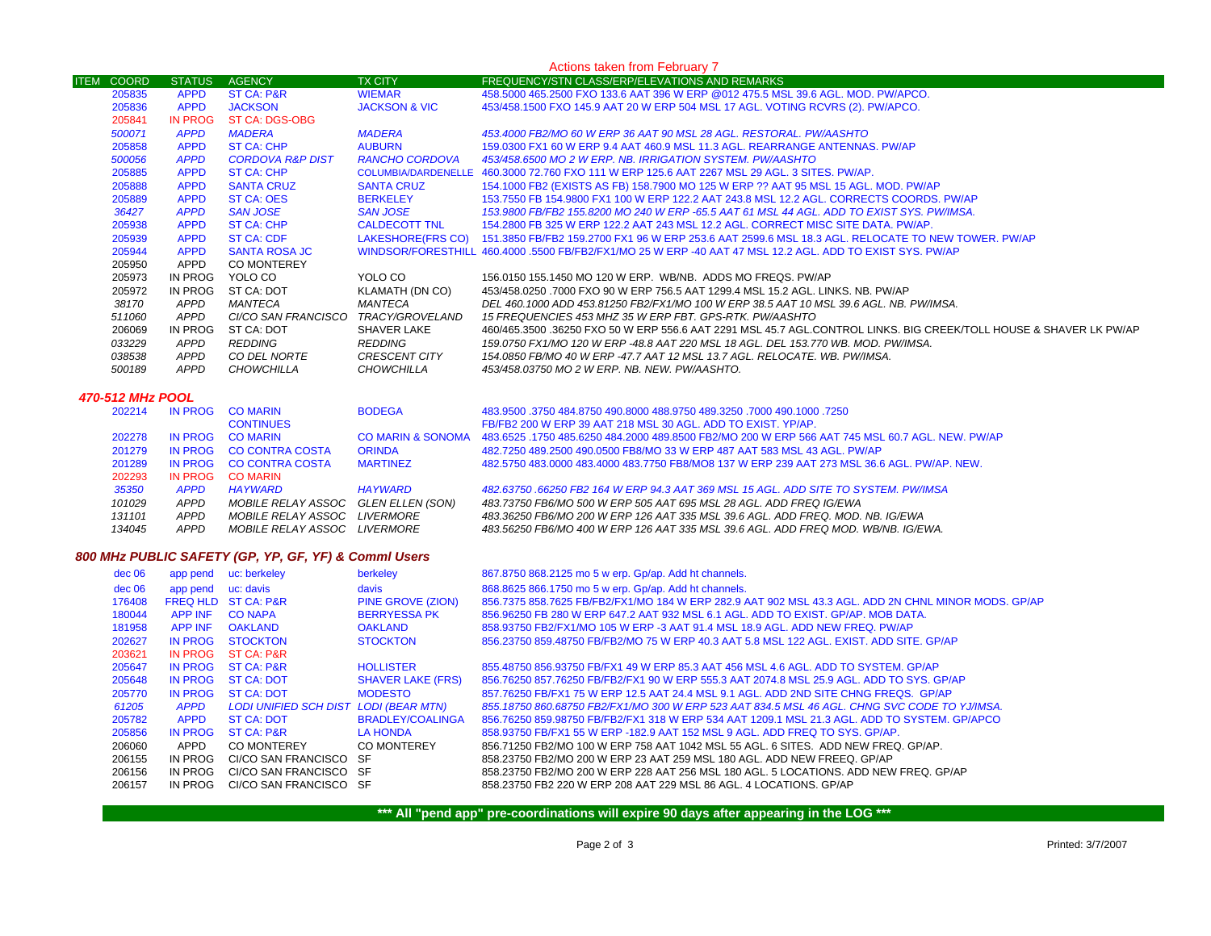| Actions taken from February 7 |               |                             |                          |                                                                                                                     |  |  |
|-------------------------------|---------------|-----------------------------|--------------------------|---------------------------------------------------------------------------------------------------------------------|--|--|
| <b>ITEM COORD</b>             | <b>STATUS</b> | <b>AGENCY</b>               | <b>TX CITY</b>           | <b>FREQUENCY/STN CLASS/ERP/ELEVATIONS AND REMARKS</b>                                                               |  |  |
| 205835                        | <b>APPD</b>   | <b>ST CA: P&amp;R</b>       | <b>WIEMAR</b>            | 458.5000 465.2500 FXO 133.6 AAT 396 W ERP @012 475.5 MSL 39.6 AGL. MOD. PW/APCO.                                    |  |  |
| 205836                        | <b>APPD</b>   | <b>JACKSON</b>              | <b>JACKSON &amp; VIC</b> | 453/458.1500 FXO 145.9 AAT 20 W ERP 504 MSL 17 AGL. VOTING RCVRS (2). PW/APCO.                                      |  |  |
| 205841                        | IN PROG       | ST CA: DGS-OBG              |                          |                                                                                                                     |  |  |
| 500071                        | <b>APPD</b>   | <b>MADERA</b>               | <b>MADERA</b>            | 453,4000 FB2/MO 60 W ERP 36 AAT 90 MSL 28 AGL. RESTORAL. PW/AASHTO                                                  |  |  |
| 205858                        | <b>APPD</b>   | ST CA: CHP                  | <b>AUBURN</b>            | 159,0300 FX1 60 W ERP 9.4 AAT 460.9 MSL 11.3 AGL, REARRANGE ANTENNAS, PW/AP                                         |  |  |
| 500056                        | <b>APPD</b>   | <b>CORDOVA R&amp;P DIST</b> | <b>RANCHO CORDOVA</b>    | 453/458,6500 MO 2 W ERP, NB, IRRIGATION SYSTEM, PW/AASHTO                                                           |  |  |
| 205885                        | <b>APPD</b>   | ST CA: CHP                  |                          | COLUMBIA/DARDENELLE 460.3000 72.760 FXO 111 W ERP 125.6 AAT 2267 MSL 29 AGL. 3 SITES. PW/AP.                        |  |  |
| 205888                        | <b>APPD</b>   | <b>SANTA CRUZ</b>           | <b>SANTA CRUZ</b>        | 154.1000 FB2 (EXISTS AS FB) 158.7900 MO 125 W ERP ?? AAT 95 MSL 15 AGL. MOD. PW/AP                                  |  |  |
| 205889                        | <b>APPD</b>   | <b>ST CA: OES</b>           | <b>BERKELEY</b>          | 153.7550 FB 154.9800 FX1 100 W ERP 122.2 AAT 243.8 MSL 12.2 AGL, CORRECTS COORDS, PW/AP                             |  |  |
| 36427                         | <b>APPD</b>   | <b>SAN JOSE</b>             | SAN JOSE                 | .153.9800 FB/FB2 155.8200 MO 240 W ERP -65.5 AAT 61 MSL 44 AGL. ADD TO EXIST SYS. PW/IMSA                           |  |  |
| 205938                        | <b>APPD</b>   | ST CA: CHP                  | CALDECOTT TNL            | 154,2800 FB 325 W ERP 122,2 AAT 243 MSL 12,2 AGL, CORRECT MISC SITE DATA, PW/AP,                                    |  |  |
| 205939                        | <b>APPD</b>   | <b>ST CA: CDF</b>           |                          | LAKESHORE(FRS CO) 151.3850 FB/FB2 159.2700 FX1 96 W ERP 253.6 AAT 2599.6 MSL 18.3 AGL. RELOCATE TO NEW TOWER. PW/AP |  |  |
| 205944                        | <b>APPD</b>   | <b>SANTA ROSA JC</b>        |                          | WINDSOR/FORESTHILL 460.4000 .5500 FB/FB2/FX1/MO 25 W ERP -40 AAT 47 MSL 12.2 AGL. ADD TO EXIST SYS. PW/AP           |  |  |
| 205950                        | APPD          | <b>CO MONTEREY</b>          |                          |                                                                                                                     |  |  |
| 205973                        | IN PROG       | YOLO CO                     | YOLO CO                  | 156,0150 155,1450 MO 120 W ERP. WB/NB. ADDS MO FREQS, PW/AP                                                         |  |  |
| 205972                        | IN PROG       | ST CA: DOT                  | KLAMATH (DN CO)          | 453/458.0250 .7000 FXO 90 W ERP 756.5 AAT 1299.4 MSL 15.2 AGL, LINKS, NB, PW/AP                                     |  |  |
| 38170                         | APPD          | MANTECA                     | MANTECA                  | DEL 460.1000 ADD 453.81250 FB2/FX1/MO 100 W ERP 38.5 AAT 10 MSL 39.6 AGL. NB. PW/IMSA.                              |  |  |
| 511060                        | APPD          | CI/CO SAN FRANCISCO         | TRACY/GROVELAND          | 15 FREQUENCIES 453 MHZ 35 W ERP FBT. GPS-RTK. PW/AASHTO                                                             |  |  |
| 206069                        | IN PROG       | ST CA: DOT                  | SHAVER LAKE              | 460/465.3500 .36250 FXO 50 W ERP 556.6 AAT 2291 MSL 45.7 AGL.CONTROL LINKS. BIG CREEK/TOLL HOUSE & SHAVER LK PW/AP  |  |  |
| 033229                        | APPD          | REDDING                     | REDDING                  | 159.0750 FX1/MO 120 W ERP -48.8 AAT 220 MSL 18 AGL. DEL 153.770 WB. MOD. PW/IMSA.                                   |  |  |
| 038538                        | APPD          | CO DEL NORTE                | <i>CRESCENT CITY</i>     | 154.0850 FB/MO 40 W ERP -47.7 AAT 12 MSL 13.7 AGL. RELOCATE. WB. PW/IMSA.                                           |  |  |
| 500189                        | APPD          | <b>CHOWCHILLA</b>           | <b>CHOWCHILLA</b>        | 453/458.03750 MO 2 W ERP. NB. NEW. PW/AASHTO.                                                                       |  |  |

## *470-512 MHz POOL*

| 202214 | IN PROG     | <b>CO MARIN</b>                     | <b>BODEGA</b>                | 483.9500 .3750 484.8750 490.8000 488.9750 489.3250 .7000 490.1000 .3750                         |
|--------|-------------|-------------------------------------|------------------------------|-------------------------------------------------------------------------------------------------|
|        |             | <b>CONTINUES</b>                    |                              | FB/FB2 200 W ERP 39 AAT 218 MSL 30 AGL. ADD TO EXIST, YP/AP.                                    |
| 202278 | IN PROG     | <b>CO MARIN</b>                     | <b>CO MARIN &amp; SONOMA</b> | 483,6525 .1750 485,6250 484,2000 489,8500 FB2/MO 200 W ERP 566 AAT 745 MSL 60.7 AGL, NEW, PW/AP |
| 201279 |             | IN PROG CO CONTRA COSTA             | <b>ORINDA</b>                | 482,7250 489,2500 490,0500 FB8/MO 33 W ERP 487 AAT 583 MSL 43 AGL. PW/AP                        |
| 201289 |             | IN PROG CO CONTRA COSTA             | <b>MARTINEZ</b>              | 482,5750 483,0000 483,4000 483,7750 FB8/MO8 137 W ERP 239 AAT 273 MSL 36.6 AGL, PW/AP, NEW.     |
| 202293 | IN PROG     | <b>CO MARIN</b>                     |                              |                                                                                                 |
| 35350  | <b>APPD</b> | HAYWARD                             | <b>HAYWARD</b>               | 482.63750 .66250 FB2 164 W ERP 94.3 AAT 369 MSL 15 AGL. ADD SITE TO SYSTEM. PW/IMSA             |
| 101029 | APPD        | MOBILE RELAY ASSOC GLEN ELLEN (SON) |                              | 483.73750 FB6/MO 500 W ERP 505 AAT 695 MSL 28 AGL. ADD FREQ IG/EWA                              |
| 131101 | <b>APPD</b> | MOBILE RELAY ASSOC                  | <i>LIVERMORE</i>             | 483.36250 FB6/MO 200 W ERP 126 AAT 335 MSL 39.6 AGL. ADD FREQ. MOD. NB. IG/EWA                  |
| 134045 | APPD        | MOBILE RELAY ASSOC LIVERMORE        |                              | 483.56250 FB6/MO 400 W ERP 126 AAT 335 MSL 39.6 AGL. ADD FREQ MOD. WB/NB. IG/EWA.               |

## *800 MHz PUBLIC SAFETY (GP, YP, GF, YF) & Comml Users*

| dec 06 |                    | app pend uc: berkeley                 | berkeley                 | 867.8750 868.2125 mo 5 w erp. Gp/ap. Add ht channels.                                               |
|--------|--------------------|---------------------------------------|--------------------------|-----------------------------------------------------------------------------------------------------|
|        |                    |                                       |                          |                                                                                                     |
| dec 06 | app pend uc: davis |                                       | davis                    | 868.8625 866.1750 mo 5 w erp. Gp/ap. Add ht channels.                                               |
| 176408 |                    | FREQ HLD ST CA: P&R                   | <b>PINE GROVE (ZION)</b> | 856.7375 858.7625 FB/FB2/FX1/MO 184 W ERP 282.9 AAT 902 MSL 43.3 AGL, ADD 2N CHNL MINOR MODS, GP/AP |
| 180044 | APP INF            | <b>CO NAPA</b>                        | <b>BERRYESSA PK</b>      | 856,96250 FB 280 W ERP 647.2 AAT 932 MSL 6.1 AGL, ADD TO EXIST, GP/AP, MOB DATA,                    |
| 181958 | APP INF            | OAKLAND                               | <b>OAKLAND</b>           | 858,93750 FB2/FX1/MO 105 W ERP -3 AAT 91.4 MSL 18.9 AGL, ADD NEW FREQ, PW/AP                        |
| 202627 | <b>IN PROG</b>     | <b>STOCKTON</b>                       | <b>STOCKTON</b>          | 856.23750 859.48750 FB/FB2/MO 75 W ERP 40.3 AAT 5.8 MSL 122 AGL. EXIST. ADD SITE, GP/AP             |
| 203621 | IN PROG            | ST CA: P&R                            |                          |                                                                                                     |
| 205647 | IN PROG            | <b>ST CA: P&amp;R</b>                 | <b>HOLLISTER</b>         | 855,48750 856,93750 FB/FX1 49 W ERP 85.3 AAT 456 MSL 4.6 AGL, ADD TO SYSTEM, GP/AP                  |
| 205648 | <b>IN PROG</b>     | ST CA: DOT                            | <b>SHAVER LAKE (FRS)</b> | 856.76250 857.76250 FB/FB2/FX1 90 W ERP 555.3 AAT 2074.8 MSL 25.9 AGL. ADD TO SYS. GP/AP            |
| 205770 | <b>IN PROG</b>     | <b>ST CA: DOT</b>                     | <b>MODESTO</b>           | 857.76250 FB/FX1 75 W ERP 12.5 AAT 24.4 MSL 9.1 AGL, ADD 2ND SITE CHNG FREQS. GP/AP                 |
| 61205  | <b>APPD</b>        | LODI UNIFIED SCH DIST LODI (BEAR MTN) |                          | 855,18750,860,68750,FB2/FX1/MO 300 W ERP 523 AAT 834.5 MSL 46 AGL, CHNG SVC CODE TO YJ/IMSA.        |
| 205782 | <b>APPD</b>        | ST CA: DOT                            | <b>BRADLEY/COALINGA</b>  | 856.76250 859.98750 FB/FB2/FX1 318 W ERP 534 AAT 1209.1 MSL 21.3 AGL. ADD TO SYSTEM. GP/APCO        |
| 205856 | <b>IN PROG</b>     | ST CA: P&R                            | LA HONDA                 | 858.93750 FB/FX1 55 W ERP -182.9 AAT 152 MSL 9 AGL. ADD FREQ TO SYS. GP/AP.                         |
| 206060 | APPD               | CO MONTEREY                           | <b>CO MONTEREY</b>       | 856.71250 FB2/MO 100 W ERP 758 AAT 1042 MSL 55 AGL, 6 SITES. ADD NEW FREQ, GP/AP,                   |
| 206155 | IN PROG            | CI/CO SAN FRANCISCO                   | -SF                      | 858.23750 FB2/MO 200 W ERP 23 AAT 259 MSL 180 AGL. ADD NEW FREEQ. GP/AP                             |
| 206156 | IN PROG            | CI/CO SAN FRANCISCO SF                |                          | 858.23750 FB2/MO 200 W ERP 228 AAT 256 MSL 180 AGL. 5 LOCATIONS. ADD NEW FREQ. GP/AP                |
| 206157 | IN PROG            | CI/CO SAN FRANCISCO SF                |                          | 858.23750 FB2 220 W ERP 208 AAT 229 MSL 86 AGL. 4 LOCATIONS, GP/AP                                  |